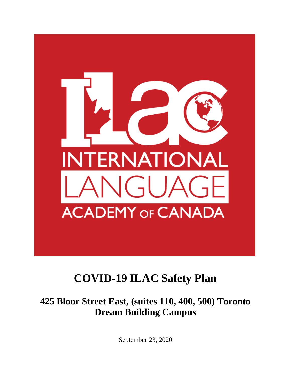

# **COVID-19 ILAC Safety Plan**

**425 Bloor Street East, (suites 110, 400, 500) Toronto Dream Building Campus**

September 23, 2020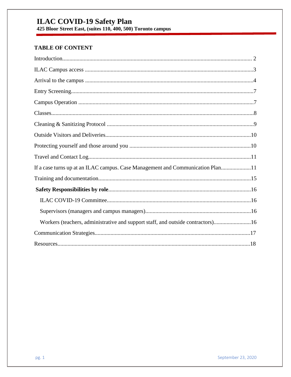**ILAC COVID-19 Safety Plan**<br>425 Bloor Street East, (suites 110, 400, 500) Toronto campus

### **TABLE OF CONTENT**

| If a case turns up at an ILAC campus. Case Management and Communication Plan11  |
|---------------------------------------------------------------------------------|
|                                                                                 |
|                                                                                 |
|                                                                                 |
|                                                                                 |
| Workers (teachers, administrative and support staff, and outside contractors)16 |
|                                                                                 |
|                                                                                 |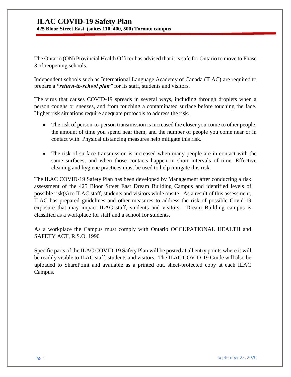**425 Bloor Street East, (suites 110, 400, 500) Toronto campus**

The Ontario (ON) Provincial Health Officer has advised that it is safe for Ontario to move to Phase 3 of reopening schools.

Independent schools such as International Language Academy of Canada (ILAC) are required to prepare a *"return-to-school plan"* for its staff, students and visitors.

The virus that causes COVID-19 spreads in several ways, including through droplets when a person coughs or sneezes, and from touching a contaminated surface before touching the face. Higher risk situations require adequate protocols to address the risk.

- The risk of person-to-person transmission is increased the closer you come to other people, the amount of time you spend near them, and the number of people you come near or in contact with. Physical distancing measures help mitigate this risk.
- The risk of surface transmission is increased when many people are in contact with the same surfaces, and when those contacts happen in short intervals of time. Effective cleaning and hygiene practices must be used to help mitigate this risk.

The ILAC COVID-19 Safety Plan has been developed by Management after conducting a risk assessment of the 425 Bloor Street East Dream Building Campus and identified levels of possible risk(s) to ILAC staff, students and visitors while onsite. As a result of this assessment, ILAC has prepared guidelines and other measures to address the risk of possible Covid-19 exposure that may impact ILAC staff, students and visitors. Dream Building campus is classified as a workplace for staff and a school for students.

As a workplace the Campus must comply with Ontario OCCUPATIONAL HEALTH and SAFETY ACT, R.S.O. 1990

Specific parts of the ILAC COVID-19 Safety Plan will be posted at all entry points where it will be readily visible to ILAC staff, students and visitors. The ILAC COVID-19 Guide will also be uploaded to SharePoint and available as a printed out, sheet-protected copy at each ILAC Campus.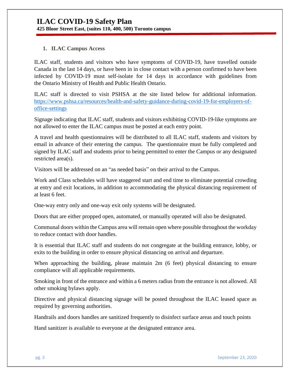#### **1. ILAC Campus Access**

ILAC staff, students and visitors who have symptoms of COVID-19, have travelled outside Canada in the last 14 days, or have been in in close contact with a person confirmed to have been infected by COVID-19 must self-isolate for 14 days in accordance with guidelines from the Ontario Ministry of Health and Public Health Ontario.

ILAC staff is directed to visit PSHSA at the site listed below for additional information. [https://www.pshsa.ca/resources/health-and-safety-guidance-during-covid-19-for-employers-of](https://www.pshsa.ca/resources/health-and-safety-guidance-during-covid-19-for-employers-of-office-settings)[office-settings](https://www.pshsa.ca/resources/health-and-safety-guidance-during-covid-19-for-employers-of-office-settings)

Signage indicating that ILAC staff, students and visitors exhibiting COVID-19-like symptoms are not allowed to enter the ILAC campus must be posted at each entry point.

A travel and health questionnaires will be distributed to all ILAC staff, students and visitors by email in advance of their entering the campus. The questionnaire must be fully completed and signed by ILAC staff and students prior to being permitted to enter the Campus or any designated restricted area(s).

Visitors will be addressed on an "as needed basis" on their arrival to the Campus.

Work and Class schedules will have staggered start and end time to eliminate potential crowding at entry and exit locations, in addition to accommodating the physical distancing requirement of at least 6 feet.

One-way entry only and one-way exit only systems will be designated.

Doors that are either propped open, automated, or manually operated will also be designated.

Communal doors within the Campus area will remain open where possible throughout the workday to reduce contact with door handles.

It is essential that ILAC staff and students do not congregate at the building entrance, lobby, or exits to the building in order to ensure physical distancing on arrival and departure.

When approaching the building, please maintain 2m (6 feet) physical distancing to ensure compliance will all applicable requirements.

Smoking in front of the entrance and within a 6 meters radius from the entrance is not allowed. All other smoking bylaws apply.

Directive and physical distancing signage will be posted throughout the ILAC leased space as required by governing authorities.

Handrails and doors handles are sanitized frequently to disinfect surface areas and touch points

Hand sanitizer is available to everyone at the designated entrance area.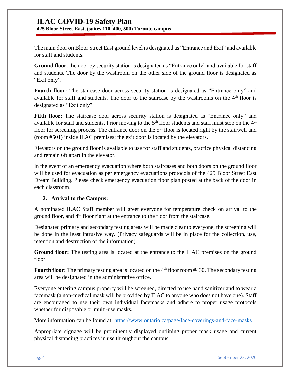**425 Bloor Street East, (suites 110, 400, 500) Toronto campus**

The main door on Bloor Street East ground level is designated as "Entrance and Exit" and available for staff and students.

**Ground floor**: the door by security station is designated as "Entrance only" and available for staff and students. The door by the washroom on the other side of the ground floor is designated as "Exit only".

**Fourth floor:** The staircase door across security station is designated as "Entrance only" and available for staff and students. The door to the staircase by the washrooms on the  $4<sup>th</sup>$  floor is designated as "Exit only".

Fifth floor: The staircase door across security station is designated as "Entrance only" and available for staff and students. Prior moving to the  $5<sup>th</sup>$  floor students and staff must stop on the  $4<sup>th</sup>$ floor for screening process. The entrance door on the  $5<sup>th</sup>$  floor is located right by the stairwell and (room #501) inside ILAC premises; the exit door is located by the elevators.

Elevators on the ground floor is available to use for staff and students, practice physical distancing and remain 6ft apart in the elevator.

In the event of an emergency evacuation where both staircases and both doors on the ground floor will be used for evacuation as per emergency evacuations protocols of the 425 Bloor Street East Dream Building. Please check emergency evacuation floor plan posted at the back of the door in each classroom.

#### **2. Arrival to the Campus:**

A nominated ILAC Staff member will greet everyone for temperature check on arrival to the ground floor, and 4<sup>th</sup> floor right at the entrance to the floor from the staircase.

Designated primary and secondary testing areas will be made clear to everyone, the screening will be done in the least intrusive way. (Privacy safeguards will be in place for the collection, use, retention and destruction of the information).

**Ground floor:** The testing area is located at the entrance to the ILAC premises on the ground floor.

Fourth floor: The primary testing area is located on the 4<sup>th</sup> floor room #430. The secondary testing area will be designated in the administrative office.

Everyone entering campus property will be screened, directed to use hand sanitizer and to wear a facemask (a non-medical mask will be provided by ILAC to anyone who does not have one). Staff are encouraged to use their own individual facemasks and adhere to proper usage protocols whether for disposable or multi-use masks.

More information can be found at:<https://www.ontario.ca/page/face-coverings-and-face-masks>

Appropriate signage will be prominently displayed outlining proper mask usage and current physical distancing practices in use throughout the campus.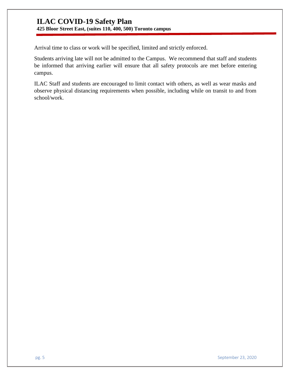**425 Bloor Street East, (suites 110, 400, 500) Toronto campus**

Arrival time to class or work will be specified, limited and strictly enforced.

Students arriving late will not be admitted to the Campus. We recommend that staff and students be informed that arriving earlier will ensure that all safety protocols are met before entering campus.

ILAC Staff and students are encouraged to limit contact with others, as well as wear masks and observe physical distancing requirements when possible, including while on transit to and from school/work.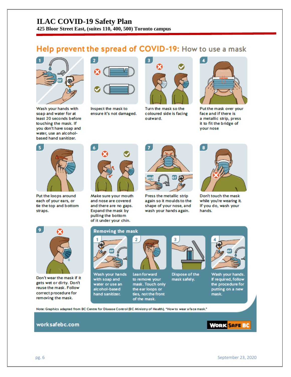**425 Bloor Street East, (suites 110, 400, 500) Toronto campus**

## Help prevent the spread of COVID-19: How to use a mask



Wash your hands with soap and water for at least 20 seconds before touching the mask. If you don't have soap and water, use an alcoholbased hand sanitizer.



Inspect the mask to ensure it's not damaged.



Turn the mask so the coloured side is facing outward.



Put the mask over your face and if there is a metallic strip, press it to fit the bridge of your nose



Put the loops around each of your ears, or tie the top and bottom straps.



Make sure your mouth and nose are covered and there are no gaps. Expand the mask by pulling the bottom of it under your chin.



Press the metallic strip again so it moulds to the shape of your nose, and wash your hands again.



Don't touch the mask while you're wearing it. If you do, wash your hands.



Don't wear the mask if it gets wet or dirty. Don't reuse the mask. Follow correct procedure for removing the mask.

#### **Removing the mask**



Wash your hands with soap and water or use an alcohol-based hand sanitizer.



**Lean forward** to remove your mask. Touch only the ear loops or ties, not the front of the mask.



Dispose of the mask safely.



Wash your hands. If required, follow the procedure for putting on a new mask.

Note: Graphics adapted from BC Centre for Disease Control (BC Ministry of Health), "How to wear a face mask."

#### worksafebc.com

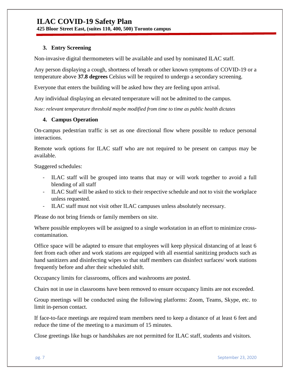**425 Bloor Street East, (suites 110, 400, 500) Toronto campus**

#### **3. Entry Screening**

Non-invasive digital thermometers will be available and used by nominated ILAC staff.

Any person displaying a cough, shortness of breath or other known symptoms of COVID-19 or a temperature above **37.8 degrees** Celsius will be required to undergo a secondary screening.

Everyone that enters the building will be asked how they are feeling upon arrival.

Any individual displaying an elevated temperature will not be admitted to the campus.

*Note: relevant temperature threshold maybe modified from time to time as public health dictates* 

#### **4. Campus Operation**

On-campus pedestrian traffic is set as one directional flow where possible to reduce personal interactions.

Remote work options for ILAC staff who are not required to be present on campus may be available.

Staggered schedules:

- ILAC staff will be grouped into teams that may or will work together to avoid a full blending of all staff
- ILAC Staff will be asked to stick to their respective schedule and not to visit the workplace unless requested.
- ILAC staff must not visit other ILAC campuses unless absolutely necessary.

Please do not bring friends or family members on site.

Where possible employees will be assigned to a single workstation in an effort to minimize crosscontamination.

Office space will be adapted to ensure that employees will keep physical distancing of at least 6 feet from each other and work stations are equipped with all essential sanitizing products such as hand sanitizers and disinfecting wipes so that staff members can disinfect surfaces/ work stations frequently before and after their scheduled shift.

[Occupancy limits](https://www.worksafebc.com/en/resources/health-safety/posters/help-prevent-spread-covid-19-occupancy-limit?lang=en) for classrooms, offices and washrooms are posted.

Chairs not in use in classrooms have been removed to ensure occupancy limits are not exceeded.

Group meetings will be conducted using the following platforms: Zoom, Teams, Skype, etc. to limit in-person contact.

If face-to-face meetings are required team members need to keep a distance of at least 6 feet and reduce the time of the meeting to a maximum of 15 minutes.

Close greetings like hugs or handshakes are not permitted for ILAC staff, students and visitors.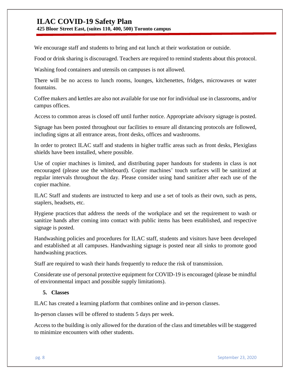**425 Bloor Street East, (suites 110, 400, 500) Toronto campus**

We encourage staff and students to bring and eat lunch at their workstation or outside.

Food or drink sharing is discouraged. Teachers are required to remind students about this protocol.

Washing food containers and utensils on campuses is not allowed.

There will be no access to lunch rooms, lounges, kitchenettes, fridges, microwaves or water fountains.

Coffee makers and kettles are also not available for use nor for individual use in classrooms, and/or campus offices.

Access to common areas is closed off until further notice. Appropriate advisory signage is posted.

Signage has been posted throughout our facilities to ensure all distancing protocols are followed, including signs at all entrance areas, front desks, offices and washrooms.

In order to protect ILAC staff and students in higher traffic areas such as front desks, Plexiglass shields have been installed, where possible.

Use of copier machines is limited, and distributing paper handouts for students in class is not encouraged (please use the whiteboard). Copier machines' touch surfaces will be sanitized at regular intervals throughout the day. Please consider using hand sanitizer after each use of the copier machine.

ILAC Staff and students are instructed to keep and use a set of tools as their own, such as pens, staplers, headsets, etc.

[Hygiene practices](https://www.worksafebc.com/en/resources/health-safety/posters/help-prevent-spread-covid-19-handwashing?lang=en) that address the needs of the workplace and set the requirement to wash or sanitize hands after coming into contact with public items has been established, and respective signage is posted.

Handwashing policies and procedures for ILAC staff, students and visitors have been developed and established at all campuses. [Handwashing signage](https://www.worksafebc.com/en/resources/health-safety/posters/help-prevent-spread-covid-19-handwashing?lang=en) is posted near all sinks to promote good handwashing practices.

Staff are required to wash their hands frequently to reduce the risk of transmission.

Considerate use of personal protective equipment for COVID-19 is encouraged (please be mindful of environmental impact and possible supply limitations).

#### **5. Classes**

ILAC has created a learning platform that combines online and in-person classes.

In-person classes will be offered to students 5 days per week.

Access to the building is only allowed for the duration of the class and timetables will be staggered to minimize encounters with other students.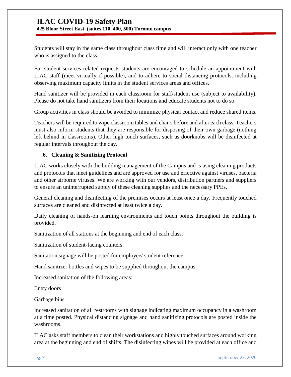**425 Bloor Street East, (suites 110, 400, 500) Toronto campus**

Students will stay in the same class throughout class time and will interact only with one teacher who is assigned to the class.

For student services related requests students are encouraged to schedule an appointment with ILAC staff (meet virtually if possible), and to adhere to social distancing protocols, including observing maximum capacity limits in the student services areas and offices.

Hand sanitizer will be provided in each classroom for staff/student use (subject to availability). Please do not take hand sanitizers from their locations and educate students not to do so.

Group activities in class should be avoided to minimize physical contact and reduce shared items.

Teachers will be required to wipe classroom tables and chairs before and after each class. Teachers must also inform students that they are responsible for disposing of their own garbage (nothing left behind in classrooms). Other high touch surfaces, such as doorknobs will be disinfected at regular intervals throughout the day.

#### **6. Cleaning & Sanitizing Protocol**

ILAC works closely with the building management of the Campus and is using cleaning products and protocols that meet guidelines and are approved for use and effective against viruses, bacteria and other airborne viruses. We are working with our vendors, distribution partners and suppliers to ensure an uninterrupted supply of these cleaning supplies and the necessary PPEs.

General cleaning and disinfecting of the premises occurs at least once a day. Frequently touched surfaces are cleaned and disinfected at least twice a day.

Daily cleaning of hands-on learning environments and touch points throughout the building is provided.

Sanitization of all stations at the beginning and end of each class.

Sanitization of student-facing counters.

Sanitation signage will be posted for employee/ student reference.

Hand sanitizer bottles and wipes to be supplied throughout the campus.

Increased sanitation of the following areas:

Entry doors 

Garbage bins 

Increased sanitation of all restrooms with signage indicating maximum occupancy in a washroom at a time posted. Physical distancing signage and hand sanitizing protocols are posted inside the washrooms.

ILAC asks staff members to clean their workstations and highly touched surfaces around working area at the beginning and end of shifts. The disinfecting wipes will be provided at each office and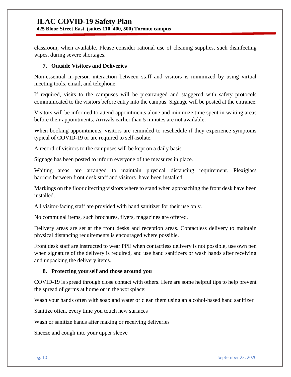classroom, when available. Please consider rational use of cleaning supplies, such disinfecting wipes, during severe shortages.

#### **7. Outside Visitors and Deliveries**

Non-essential in-person interaction between staff and visitors is minimized by using virtual meeting tools, email, and telephone.

If required, visits to the campuses will be prearranged and staggered with safety protocols communicated to the visitors before entry into the campus. Signage will be posted at the entrance.

Visitors will be informed to attend appointments alone and minimize time spent in waiting areas before their appointments. Arrivals earlier than 5 minutes are not available.

When booking appointments, visitors are reminded to reschedule if they experience symptoms typical of COVID-19 or are required to self-isolate.

A record of visitors to the campuses will be kept on a daily basis.

Signage has been posted to inform everyone of the measures in place.

Waiting areas are arranged to maintain physical distancing requirement. Plexiglass barriers between front desk staff and visitors have been installed.

Markings on the floor directing visitors where to stand when approaching the front desk have been installed.

All visitor-facing staff are provided with hand sanitizer for their use only.

No communal items, such brochures, flyers, magazines are offered.

Delivery areas are set at the front desks and reception areas. Contactless delivery to maintain physical distancing requirements is encouraged where possible.

Front desk staff are instructed to wear PPE when contactless delivery is not possible, use own pen when signature of the delivery is required, and use hand sanitizers or wash hands after receiving and unpacking the delivery items.

#### **8. Protecting yourself and those around you**

COVID-19 is spread through close contact with others. Here are some helpful tips to help prevent the spread of germs at home or in the workplace:

Wash your hands often with soap and water or clean them using an alcohol-based hand sanitizer

Sanitize often, every time you touch new surfaces

Wash or sanitize hands after making or receiving deliveries

Sneeze and cough into your upper sleeve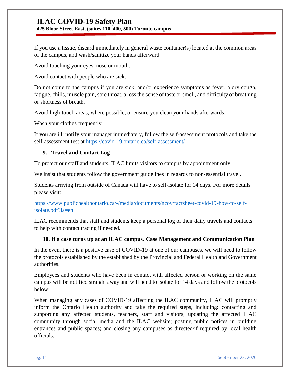**425 Bloor Street East, (suites 110, 400, 500) Toronto campus**

If you use a tissue, discard immediately in general waste container(s) located at the common areas of the campus, and wash/sanitize your hands afterward.

Avoid touching your eyes, nose or mouth.

Avoid contact with people who are sick.

Do not come to the campus if you are sick, and/or experience symptoms as fever, a dry cough, fatigue, chills, muscle pain, sore throat, a loss the sense of taste or smell, and difficulty of breathing or shortness of breath.

Avoid high-touch areas, where possible, or ensure you clean your hands afterwards.

Wash your clothes frequently.

If you are ill: notify your manager immediately, follow the self-assessment protocols and take the self-assessment test at <https://covid-19.ontario.ca/self-assessment/>

#### **9. Travel and Contact Log**

To protect our staff and students, ILAC limits visitors to campus by appointment only.

We insist that students follow the government guidelines in regards to non-essential travel.

Students arriving from outside of Canada will have to self-isolate for 14 days. For more details please visit:

[https://www.publichealthontario.ca/-/media/documents/ncov/factsheet-covid-19-how-to-self](https://www.publichealthontario.ca/-/media/documents/ncov/factsheet-covid-19-how-to-self-isolate.pdf?la=en)[isolate.pdf?la=en](https://www.publichealthontario.ca/-/media/documents/ncov/factsheet-covid-19-how-to-self-isolate.pdf?la=en)

ILAC recommends that staff and students keep a personal log of their daily travels and contacts to help with contact tracing if needed.

#### **10. If a case turns up at an ILAC campus. Case Management and Communication Plan**

In the event there is a positive case of COVID-19 at one of our campuses, we will need to follow the protocols established by the established by the Provincial and Federal Health and Government authorities.

Employees and students who have been in contact with affected person or working on the same campus will be notified straight away and will need to isolate for 14 days and follow the protocols below:

When managing any cases of COVID-19 affecting the ILAC community, ILAC will promptly inform the Ontario Health authority and take the required steps, including: contacting and supporting any affected students, teachers, staff and visitors; updating the affected ILAC community through social media and the ILAC website; posting public notices in building entrances and public spaces; and closing any campuses as directed/if required by local health officials.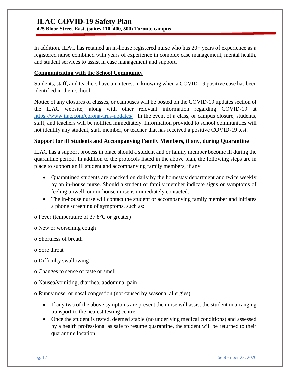**425 Bloor Street East, (suites 110, 400, 500) Toronto campus**

In addition, ILAC has retained an in-house registered nurse who has 20+ years of experience as a registered nurse combined with years of experience in complex case management, mental health, and student services to assist in case management and support.

#### **Communicating with the School Community**

Students, staff, and teachers have an interest in knowing when a COVID-19 positive case has been identified in their school.

Notice of any closures of classes, or campuses will be posted on the COVID-19 updates section of the ILAC website, along with other relevant information regarding COVID-19 at <https://www.ilac.com/coronavirus-updates/> . In the event of a class, or campus closure, students, staff, and teachers will be notified immediately. Information provided to school communities will not identify any student, staff member, or teacher that has received a positive COVID-19 test.

#### **Support for ill Students and Accompanying Family Members, if any, during Quarantine**

ILAC has a support process in place should a student and or family member become ill during the quarantine period. In addition to the protocols listed in the above plan, the following steps are in place to support an ill student and accompanying family members, if any.

- Quarantined students are checked on daily by the homestay department and twice weekly by an in-house nurse. Should a student or family member indicate signs or symptoms of feeling unwell, our in-house nurse is immediately contacted.
- The in-house nurse will contact the student or accompanying family member and initiates a phone screening of symptoms, such as:

o Fever (temperature of 37.8°C or greater)

o New or worsening cough

o Shortness of breath

o Sore throat

- o Difficulty swallowing
- o Changes to sense of taste or smell
- o Nausea/vomiting, diarrhea, abdominal pain

o Runny nose, or nasal congestion (not caused by seasonal allergies)

- If any two of the above symptoms are present the nurse will assist the student in arranging transport to the nearest testing centre.
- Once the student is tested, deemed stable (no underlying medical conditions) and assessed by a health professional as safe to resume quarantine, the student will be returned to their quarantine location.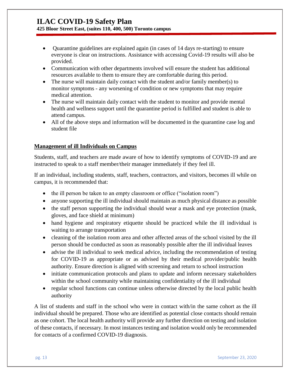#### **425 Bloor Street East, (suites 110, 400, 500) Toronto campus**

- Quarantine guidelines are explained again (in cases of 14 days re-starting) to ensure everyone is clear on instructions. Assistance with accessing Covid-19 results will also be provided.
- Communication with other departments involved will ensure the student has additional resources available to them to ensure they are comfortable during this period.
- The nurse will maintain daily contact with the student and/or family member(s) to monitor symptoms - any worsening of condition or new symptoms that may require medical attention.
- The nurse will maintain daily contact with the student to monitor and provide mental health and wellness support until the quarantine period is fulfilled and student is able to attend campus.
- All of the above steps and information will be documented in the quarantine case log and student file

#### **Management of ill Individuals on Campus**

Students, staff, and teachers are made aware of how to identify symptoms of COVID-19 and are instructed to speak to a staff member/their manager immediately if they feel ill.

If an individual, including students, staff, teachers, contractors, and visitors, becomes ill while on campus, it is recommended that:

- the ill person be taken to an empty classroom or office ("isolation room")
- anyone supporting the ill individual should maintain as much physical distance as possible
- the staff person supporting the individual should wear a mask and eye protection (mask, gloves, and face shield at minimum)
- hand hygiene and respiratory etiquette should be practiced while the ill individual is waiting to arrange transportation
- cleaning of the isolation room area and other affected areas of the school visited by the ill person should be conducted as soon as reasonably possible after the ill individual leaves
- advise the ill individual to seek medical advice, including the recommendation of testing for COVID-19 as appropriate or as advised by their medical provider/public health authority. Ensure direction is aligned with screening and return to school instruction
- initiate communication protocols and plans to update and inform necessary stakeholders within the school community while maintaining confidentiality of the ill individual
- regular school functions can continue unless otherwise directed by the local public health authority

A list of students and staff in the school who were in contact with/in the same cohort as the ill individual should be prepared. Those who are identified as potential close contacts should remain as one cohort. The local health authority will provide any further direction on testing and isolation of these contacts, if necessary. In most instances testing and isolation would only be recommended for contacts of a confirmed COVID-19 diagnosis.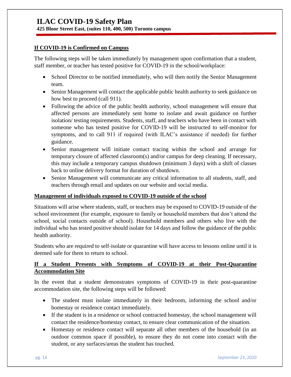#### **If COVID-19 is Confirmed on Campus**

The following steps will be taken immediately by management upon confirmation that a student, staff member, or teacher has tested positive for COVID-19 in the school/workplace:

- School Director to be notified immediately, who will then notify the Senior Management team.
- Senior Management will contact the applicable public health authority to seek guidance on how best to proceed (call 911).
- Following the advice of the public health authority, school management will ensure that affected persons are immediately sent home to isolate and await guidance on further isolation/ testing requirements. Students, staff, and teachers who have been in contact with someone who has tested positive for COVID-19 will be instructed to self-monitor for symptoms, and to call 911 if required (with ILAC's assistance if needed) for further guidance.
- Senior management will initiate contact tracing within the school and arrange for temporary closure of affected classroom(s) and/or campus for deep cleaning. If necessary, this may include a temporary campus shutdown (minimum 3 days) with a shift of classes back to online delivery format for duration of shutdown.
- Senior Management will communicate any critical information to all students, staff, and teachers through email and updates on our website and social media.

#### **Management of individuals exposed to COVID-19 outside of the school**

Situations will arise where students, staff, or teachers may be exposed to COVID-19 outside of the school environment (for example, exposure to family or household members that don't attend the school, social contacts outside of school). Household members and others who live with the individual who has tested positive should isolate for 14 days and follow the guidance of the public health authority.

Students who are required to self-isolate or quarantine will have access to lessons online until it is deemed safe for them to return to school.

#### **If a Student Presents with Symptoms of COVID-19 at their Post-Quarantine Accommodation Site**

In the event that a student demonstrates symptoms of COVID-19 in their post-quarantine accommodation site, the following steps will be followed:

- The student must isolate immediately in their bedroom, informing the school and/or homestay or residence contact immediately.
- If the student is in a residence or school contracted homestay, the school management will contact the residence/homestay contact, to ensure clear communication of the situation.
- Homestay or residence contact will separate all other members of the household (in an outdoor common space if possible), to ensure they do not come into contact with the student, or any surfaces/areas the student has touched.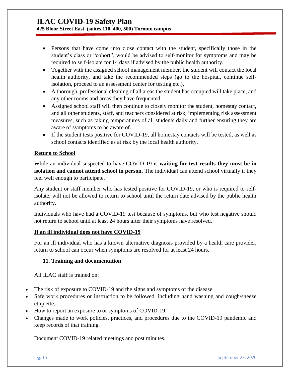**425 Bloor Street East, (suites 110, 400, 500) Toronto campus**

- Persons that have come into close contact with the student, specifically those in the student's class or "cohort", would be advised to self-monitor for symptoms and may be required to self-isolate for 14 days if advised by the public health authority.
- Together with the assigned school management member, the student will contact the local health authority, and take the recommended steps (go to the hospital, continue selfisolation, proceed to an assessment center for testing etc.).
- A thorough, professional cleaning of all areas the student has occupied will take place, and any other rooms and areas they have frequented.
- Assigned school staff will then continue to closely monitor the student, homestay contact, and all other students, staff, and teachers considered at risk, implementing risk assessment measures, such as taking temperatures of all students daily and further ensuring they are aware of symptoms to be aware of.
- If the student tests positive for COVID-19, all homestay contacts will be tested, as well as school contacts identified as at risk by the local health authority.

#### **Return to School**

While an individual suspected to have COVID-19 is **waiting for test results they must be in isolation and cannot attend school in person.** The individual can attend school virtually if they feel well enough to participate.

Any student or staff member who has tested positive for COVID-19, or who is required to selfisolate, will not be allowed to return to school until the return date advised by the public health authority.

Individuals who have had a COVID-19 test because of symptoms, but who test negative should not return to school until at least 24 hours after their symptoms have resolved.

#### **If an ill individual does not have COVID-19**

For an ill individual who has a known alternative diagnosis provided by a health care provider, return to school can occur when symptoms are resolved for at least 24 hours.

#### **11. Training and documentation**

All ILAC staff is trained on:

- The risk of exposure to COVID-19 and the signs and symptoms of the disease.
- Safe work procedures or instruction to be followed, including hand washing and cough/sneeze etiquette.
- How to report an exposure to or symptoms of COVID-19.
- Changes made to work policies, practices, and procedures due to the COVID-19 pandemic and keep records of that training.

Document COVID-19 related meetings and post minutes.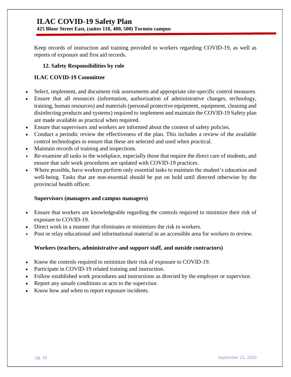Keep records of instruction and training provided to workers regarding COVID-19, as well as reports of exposure and first aid records.

#### **12. Safety Responsibilities by role**

#### **ILAC COVID-19 Committee**

- Select, implement, and document risk assessments and appropriate site-specific control measures.
- Ensure that all resources (information, authorization of administrative changes, technology, training, human resources) and materials (personal protective equipment, equipment, cleaning and disinfecting products and systems) required to implement and maintain the COVID-19 Safety plan are made available as practical when required.
- Ensure that supervisors and workers are informed about the content of safety policies.
- Conduct a periodic review the effectiveness of the plan. This includes a review of the available control technologies to ensure that these are selected and used when practical.
- Maintain records of training and inspections.
- Re-examine all tasks in the workplace, especially those that require the direct care of students, and ensure that safe work procedures are updated with COVID-19 practices.
- Where possible, have workers perform only essential tasks to maintain the student's education and well-being. Tasks that are non-essential should be put on hold until directed otherwise by the provincial health officer.

#### **Supervisors (managers and campus managers)**

- Ensure that workers are knowledgeable regarding the controls required to minimize their risk of exposure to COVID-19.
- Direct work in a manner that eliminates or minimizes the risk to workers.
- Post or relay educational and informational material in an accessible area for workers to review.

#### **Workers (teachers, administrative and support staff, and outside contractors)**

- Know the controls required to minimize their risk of exposure to COVID-19.
- Participate in COVID-19 related training and instruction.
- Follow established work procedures and instructions as directed by the employer or supervisor.
- Report any unsafe conditions or acts to the supervisor.
- Know how and when to report exposure incidents.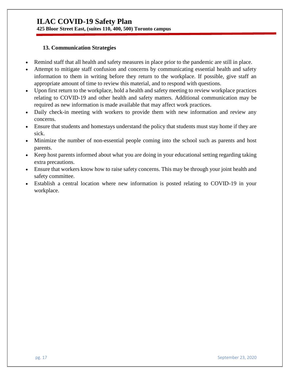#### **13. Communication Strategies**

- Remind staff that all health and safety measures in place prior to the pandemic are still in place.
- Attempt to mitigate staff confusion and concerns by communicating essential health and safety information to them in writing before they return to the workplace. If possible, give staff an appropriate amount of time to review this material, and to respond with questions.
- Upon first return to the workplace, hold a health and safety meeting to review workplace practices relating to COVID-19 and other health and safety matters. Additional communication may be required as new information is made available that may affect work practices.
- Daily check-in meeting with workers to provide them with new information and review any concerns.
- Ensure that students and homestays understand the policy that students must stay home if they are sick.
- Minimize the number of non-essential people coming into the school such as parents and host parents.
- Keep host parents informed about what you are doing in your educational setting regarding taking extra precautions.
- Ensure that workers know how to raise safety concerns. This may be through your joint health and safety committee.
- Establish a central location where new information is posted relating to COVID-19 in your workplace.